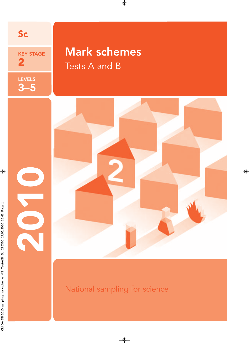Sc

KEY STAGE 2

LEVELS 3–5

### Mark schemes Tests A and B



National sampling for science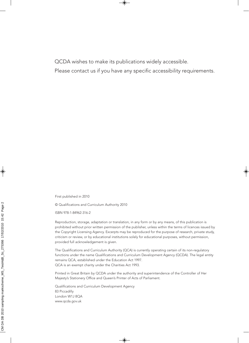QCDA wishes to make its publications widely accessible.

Please contact us if you have any specific accessibility requirements.

First published in 2010

© Qualifications and Curriculum Authority 2010

ISBN 978-1-84962-316-2

Reproduction, storage, adaptation or translation, in any form or by any means, of this publication is prohibited without prior written permission of the publisher, unless within the terms of licences issued by the Copyright Licensing Agency. Excerpts may be reproduced for the purpose of research, private study, criticism or review, or by educational institutions solely for educational purposes, without permission, provided full acknowledgement is given.

The Qualifications and Curriculum Authority (QCA) is currently operating certain of its non-regulatory functions under the name Qualifications and Curriculum Development Agency (QCDA). The legal entity remains QCA, established under the Education Act 1997. QCA is an exempt charity under the Charities Act 1993.

Printed in Great Britain by QCDA under the authority and superintendence of the Controller of Her Majesty's Stationery Office and Queen's Printer of Acts of Parliament.

Qualifications and Curriculum Development Agency 83 Piccadilly London W1J 8QA www.qcda.gov.uk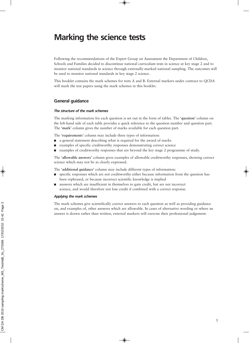### **Marking the science tests**

Following the recommendations of the Expert Group on Assessment the Department of Children, Schools and Families decided to discontinue national curriculum tests in science at key stage 2 and to monitor national standards in science through externally-marked national sampling. The outcomes will be used to monitor national standards in key stage 2 science.

This booklet contains the mark schemes for tests A and B. External markers under contract to QCDA will mark the test papers using the mark schemes in this booklet.

### **General guidance**

### *The structure of the mark schemes*

The marking information for each question is set out in the form of tables. The **'question'** column on the left-hand side of each table provides a quick reference to the question number and question part. The **'mark'** column gives the number of marks available for each question part.

The **'requirements'** column may include three types of information:

- a general statement describing what is required for the award of marks
- examples of specific creditworthy responses demonstrating correct science
- examples of creditworthy responses that are beyond the key stage 2 programme of study.

The **'allowable answers'** column gives examples of allowable creditworthy responses, showing correct science which may not be as clearly expressed.

The **'additional guidance'** column may include different types of information:

- specific responses which are not creditworthy either because information from the question has been rephrased, or because incorrect scientific knowledge is implied
- answers which are insufficient in themselves to gain credit, but are not incorrect science, and would therefore not lose credit if combined with a correct response.

### *Applying the mark schemes*

The mark schemes give scientifically correct answers to each question as well as providing guidance on, and examples of, other answers which are allowable. In cases of alternative wording or where an answer is drawn rather than written, external markers will exercise their professional judgement.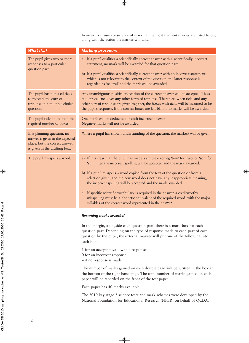In order to ensure consistency of marking, the most frequent queries are listed below, along with the action the marker will take.

| <b>What if?</b>                                                                                                                 | <b>Marking procedure</b>                                                                                                                                                                                                                                                                                                                                                                                                                                                                                                                                                                                                               |
|---------------------------------------------------------------------------------------------------------------------------------|----------------------------------------------------------------------------------------------------------------------------------------------------------------------------------------------------------------------------------------------------------------------------------------------------------------------------------------------------------------------------------------------------------------------------------------------------------------------------------------------------------------------------------------------------------------------------------------------------------------------------------------|
| The pupil gives two or more<br>responses to a particular<br>question part.                                                      | a) If a pupil qualifies a scientifically correct answer with a scientifically incorrect<br>statement, no mark will be awarded for that question part.<br>b) If a pupil qualifies a scientifically correct answer with an incorrect statement<br>which is not relevant to the context of the question, the latter response is<br>regarded as 'neutral' and the mark will be awarded.                                                                                                                                                                                                                                                    |
| The pupil has not used ticks<br>to indicate the correct<br>response in a multiple-choice<br>question.                           | Any unambiguous positive indication of the correct answer will be accepted. Ticks<br>take precedence over any other form of response. Therefore, when ticks and any<br>other sort of response are given together, the boxes with ticks will be assumed to be<br>the pupil's response. If the correct boxes are left blank, no marks will be awarded.                                                                                                                                                                                                                                                                                   |
| The pupil ticks more than the<br>required number of boxes.                                                                      | One mark will be deducted for each incorrect answer.<br>Negative marks will not be awarded.                                                                                                                                                                                                                                                                                                                                                                                                                                                                                                                                            |
| In a planning question, no<br>answer is given in the expected<br>place, but the correct answer<br>is given in the drafting box. | Where a pupil has shown understanding of the question, the mark(s) will be given.                                                                                                                                                                                                                                                                                                                                                                                                                                                                                                                                                      |
| The pupil misspells a word.                                                                                                     | a) If it is clear that the pupil has made a simple error, eg 'tow' for 'two' or 'son' for<br>'sun', then the incorrect spelling will be accepted and the mark awarded.<br>b) If a pupil misspells a word copied from the text of the question or from a<br>selection given, and the new word does not have any inappropriate meaning,<br>the incorrect spelling will be accepted and the mark awarded.<br>c) If specific scientific vocabulary is required in the answer, a creditworthy<br>misspelling must be a phonetic equivalent of the required word, with the major<br>syllables of the correct word represented in the answer. |

### *Recording marks awarded*

In the margin, alongside each question part, there is a mark box for each question part. Depending on the type of response made to each part of each question by the pupil, the external marker will put one of the following into each box:

- **1** for an acceptable/allowable response
- **0** for an incorrect response
- **–** if no response is made.

The number of marks gained on each double page will be written in the box at the bottom of the right-hand page. The total number of marks gained on each paper will be recorded on the front of the test paper.

Each paper has 40 marks available.

The 2010 key stage 2 science tests and mark schemes were developed by the National Foundation for Educational Research (NFER) on behalf of QCDA.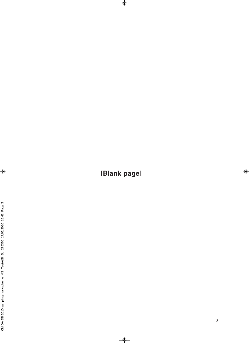**[Blank page]**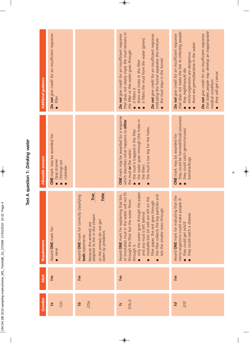| ١<br>ı<br>ı<br>i |
|------------------|
| ı<br>۰<br>۹      |
| i<br>ı<br>I<br>E |
| Í                |
|                  |

| <b>Additional guidance</b> | Do not give credit for an insufficient response:<br>liter.                             |                                                                                                                                                                                                                                                                      | that does not clearly imply the mud remains in<br>Do not give credit for an insufficient response<br>Do not give credit for an insufficient response<br>it filters the mud from the water [given].<br>indicating the funnel separates the mixture:<br>the filter or the water goes through:<br>the mud stays in the funnel.<br>there are holes in the filter<br>it filters it<br>П       | that states people may develop an inappropriate<br>that does not make the link to infecting people:<br>Do not give credit for an insufficient response<br>Do not give credit for an insufficient response<br>there are germs/bacteria in the water.<br>micro-organisms are dangerous<br>they might/would die<br>they will get cancer.<br>medical condition: |
|----------------------------|----------------------------------------------------------------------------------------|----------------------------------------------------------------------------------------------------------------------------------------------------------------------------------------------------------------------------------------------------------------------|------------------------------------------------------------------------------------------------------------------------------------------------------------------------------------------------------------------------------------------------------------------------------------------------------------------------------------------------------------------------------------------|-------------------------------------------------------------------------------------------------------------------------------------------------------------------------------------------------------------------------------------------------------------------------------------------------------------------------------------------------------------|
| Allowable answers          | ONE mark may be awarded for:<br>(tea) strainer<br>(fishing) net<br>colander.<br>Г<br>П |                                                                                                                                                                                                                                                                      | ONE mark may be awarded for a response<br>the water goes through (the holes in<br>which describes what happens to either<br>the mud is too big for the holes.<br>the mud is trapped in the filter<br>the mud or the water:<br>the filter)<br>П                                                                                                                                           | they could be harmed/(food) poisoned<br>they could catch germs/viruses/<br>ONE mark may be awarded for:<br>bacteria/bugs.<br>n<br>П                                                                                                                                                                                                                         |
| Requirements               | Award ONE mark for:<br>sieve.                                                          | $\begin{tabular}{ c c } \hline \textbf{True} \\ \hline \end{tabular}$<br>False<br>Award ONE mark for correctly classifying<br>adapted to live in the stream<br>so the animals do not get<br>because the animals are<br>eaten by predators<br><b>both</b> statements: | only the water goes through the paper<br>of (insoluble) mud in the water will not fit<br>Award ONE mark for explaining that bits<br>the filter collects the big particles and<br>insoluble bits (of soil) are left on the<br>through the filter but the water flows<br>filter paper, the rest goes through<br>ets the smaller ones through.<br>and any mud is left behind<br>through it: | Award ONE mark for indicating that the<br>micro-organisms could make people ill:<br>they could catch a disease.<br>they could get sick/ill<br>Ē                                                                                                                                                                                                             |
| <b>Mark</b>                | 1 <sub>m</sub>                                                                         | 1 <sub>m</sub>                                                                                                                                                                                                                                                       | 1 <sub>m</sub>                                                                                                                                                                                                                                                                                                                                                                           | 1 <sub>m</sub>                                                                                                                                                                                                                                                                                                                                              |
| Question                   | 1/2c<br>$\mathcal{I}_{\mathcal{A}}$                                                    | 2/5a<br>1 <sub>b</sub>                                                                                                                                                                                                                                               | $3/3c$ , $b$<br>1c                                                                                                                                                                                                                                                                                                                                                                       | 2/5f<br>$\overline{1d}$                                                                                                                                                                                                                                                                                                                                     |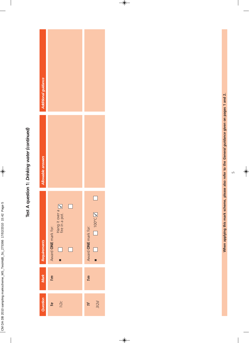Test A question 1: Drinking water (continued) **Test A question 1:** *Drinking water (continued)*

| <b>Additional guidance</b> |                                                                    |                                                                                                                                          |
|----------------------------|--------------------------------------------------------------------|------------------------------------------------------------------------------------------------------------------------------------------|
| Allowable answers          |                                                                    |                                                                                                                                          |
| <b>Requirements</b>        | Hang it over a <sub>U</sub><br>×.<br>Award ONE mark for:<br>.<br>. | $\begin{array}{ccc}\n\bullet & \bullet & \bullet & \bullet \\ \bullet & \bullet & \bullet & \bullet\n\end{array}$<br>Award ONE mark for: |
| <b>Mark</b>                | 1 <sub>m</sub>                                                     | 1 <sub>m</sub>                                                                                                                           |
| Question                   | 1/2c<br>1e                                                         | 3/2d<br>T۴                                                                                                                               |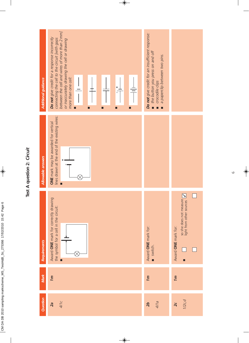Test A question 2: Circuit **Test A question 2:** *Circuit*

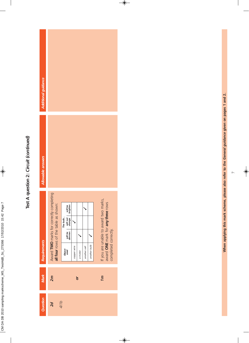# Test A question 2: Circuit (continued) **Test A question 2:** *Circuit (continued)*

| Question   | <b>Mark</b>    | <b>Requirements</b>                                                                               |                                     |          |                      | Allowable answers | <b>Additional guidance</b> |
|------------|----------------|---------------------------------------------------------------------------------------------------|-------------------------------------|----------|----------------------|-------------------|----------------------------|
| 4/1b<br>2d | 2 <sub>m</sub> | Award TWO marks for correctly completing<br>all four rows of the table as shown:                  |                                     |          |                      |                   |                            |
|            |                | Object<br>used                                                                                    | will be will not<br>dimmer. change. | The bulb | will be<br>brighter. |                   |                            |
|            | ð              | copper wire                                                                                       |                                     |          |                      |                   |                            |
|            |                | a motor                                                                                           |                                     |          |                      |                   |                            |
|            |                | another cell                                                                                      |                                     |          |                      |                   |                            |
|            |                | another bulb                                                                                      |                                     |          |                      |                   |                            |
|            | 1 <sub>m</sub> | If you are unable to award two marks<br>award ONE mark for any three rows<br>completed correctly. |                                     |          |                      |                   |                            |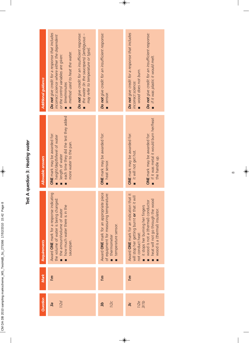| Question           | <b>Mark</b>    | Requirements                                                                                                                                                                                                                                                | Allowable answers                                                                                                                                             | <b>Additional guidance</b>                                                                                                                                                                                                                                                                                                                     |
|--------------------|----------------|-------------------------------------------------------------------------------------------------------------------------------------------------------------------------------------------------------------------------------------------------------------|---------------------------------------------------------------------------------------------------------------------------------------------------------------|------------------------------------------------------------------------------------------------------------------------------------------------------------------------------------------------------------------------------------------------------------------------------------------------------------------------------------------------|
| 1/2d<br>3a         | 1 <sub>m</sub> | Award ONE mark for a response indicating<br>the volume of water is being changed:<br>how much water there is in the<br>the amount/volume of water<br>saucepan.                                                                                              | each time they did the test they added<br><b>ONE</b> mark may be awarded for:<br>height/depth/level of water<br>more water to the pan.<br>length of water     | Do not give credit for a response that includes<br>Do not give credit for an insufficient response:<br>$\blacksquare$ the water (in the saucepans) [ambiguous –<br>incorrect science where either the dependent<br>may refer to temperature or type).<br>method used to heat the water.<br>or the control variables are given:<br>time/minutes |
| 1/2c<br>3b         | $\mathbf{m}$   | Award ONE mark for an appropriate piece<br>of equipment for measuring temperature:<br>temperature sensor.<br>thermometer                                                                                                                                    | ONE mark may be awarded for:<br>neat sensor.                                                                                                                  | Do not give credit for an insufficient response:<br>sensor.<br>Ë                                                                                                                                                                                                                                                                               |
| 1/2e<br>3/1b<br>3c | $\mathfrak{m}$ | Award ONE mark for an indication that it<br>will stop her getting burnt or that it wil<br>heat will not go through the wood<br>wood is not a (thermal) conductor<br>it stops her burning her fingers<br>wood is a (thermal) insulator.<br>not conduct heat: | if it was metal it would burn her/heat<br><b>ONE</b> mark may be awarded for:<br><b>ONE</b> mark may be awarded for:<br>t will not get hot.<br>the handle up. | Do not give credit for an insufficient response:<br>Do not give credit for a response that includes<br>If it was plastic it would melt.<br>wood does not burn.<br>incorrect science:                                                                                                                                                           |

# Test A question 3: Heating water **Test A question 3:** *Heating water*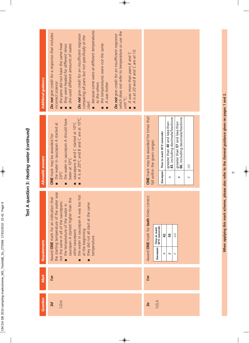| <b>Additional guidance</b> | <b>because some were at different temperatures</b><br>which does not refer to temperature or use the<br>Do not give credit for a response that includes<br>Do not give credit for an insufficient response<br>Do not give credit for an insufficient response<br>comparing all pans but not specifically at the<br>she used different amounts of water.<br>the pans did not have the same heat<br>the temperatures were not the same<br>they were heated for different times<br>$\blacksquare$ A is at 20 and B and C are at 10.<br>A was more than pans B and C<br>incorrect science:<br>A was hotter.<br>to the others<br>unit °C:<br>start:<br>П |                                                                                                                                                                                                                                                                                          |
|----------------------------|-----------------------------------------------------------------------------------------------------------------------------------------------------------------------------------------------------------------------------------------------------------------------------------------------------------------------------------------------------------------------------------------------------------------------------------------------------------------------------------------------------------------------------------------------------------------------------------------------------------------------------------------------------|------------------------------------------------------------------------------------------------------------------------------------------------------------------------------------------------------------------------------------------------------------------------------------------|
| Allowable answers          | A is at 20°C and B and C are at 10°C.<br>the water in saucepan A should have<br>saucepans B and C started at 10°C<br>the water in saucepan A started at<br><b>ONE</b> mark may be awarded for:<br>been at 10°C<br>$20^{\circ}$ C<br>i.<br>□<br>□<br>□                                                                                                                                                                                                                                                                                                                                                                                               | ONE mark may be awarded for times that<br>43, including decimals/fractions<br>60, including decimals/fractions<br>greater than 57 and less than<br>greater than 40 and less than<br>Time to reach 50°C (seconds)<br>fall within the given ranges:<br>8<br><b>Saucepan</b><br>4<br>В<br>C |
| Requirements               | the starting temperature of the water was<br>hot<br>Award ONE mark for an indication that<br>saucepan A started higher than the<br>the water in saucepan A was too<br>not the same in all of the saucepans:<br>they did not all start at the same<br>the temperature of the water in<br>at the beginning<br>other saucepans<br>temperature.<br>▉                                                                                                                                                                                                                                                                                                    | Award ONE mark for both times correct:<br>Time to reach<br>50°C (seconds)<br>89<br>$\overline{a}$<br>59<br><b>Saucepan</b><br>4<br>C<br>В                                                                                                                                                |
| <b>Mark</b>                | 1 <sub>m</sub>                                                                                                                                                                                                                                                                                                                                                                                                                                                                                                                                                                                                                                      | 1 <sub>m</sub>                                                                                                                                                                                                                                                                           |
| Question                   | 1/2m<br>3d                                                                                                                                                                                                                                                                                                                                                                                                                                                                                                                                                                                                                                          | 1/2i,h<br>3e                                                                                                                                                                                                                                                                             |

**Test A question 3:** *Heating water (continued)*

Test A question 3: Heating water (continued)

When applying this mark scheme, please also refer to the General guidance given on pages 1 and 2. **When applying this mark scheme, please also refer to the** *General guidance* **given on pages 1 and 2.**

ī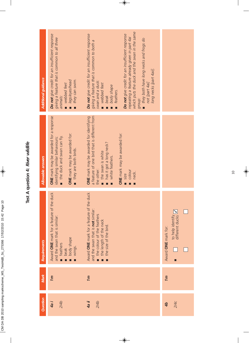| Question      | <b>Mark</b>    | Requirements                                                                                                                                                          | Allowable answers                                                                                                                                                                                                                          | <b>Additional guidance</b>                                                                                                                                                                                                                                                                                                                                                                                              |
|---------------|----------------|-----------------------------------------------------------------------------------------------------------------------------------------------------------------------|--------------------------------------------------------------------------------------------------------------------------------------------------------------------------------------------------------------------------------------------|-------------------------------------------------------------------------------------------------------------------------------------------------------------------------------------------------------------------------------------------------------------------------------------------------------------------------------------------------------------------------------------------------------------------------|
| 2/4b<br>4a i  | 1 <sub>m</sub> | Award ONE mark for a feature of the duck<br>and the swan that is similar:<br>body shape<br>feathers<br>wings.<br>beak                                                 | ONE mark may be awarded for a response<br>ONE mark may be awarded for:<br>the duck and swan can fly.<br>identifying similar behaviours:<br>they are both birds.                                                                            | Do not give credit for an insufficient response<br>giving a feature that is common to all three<br>they can swim.<br>legs/eyes/head<br>webbed feet<br>animals:                                                                                                                                                                                                                                                          |
| 4a ii<br>2/4b | 1 <sub>m</sub> | Award ONE mark for a feature of the duck<br>and the swan that is <b>not</b> similar:<br>the colour of the feathers<br>the length of the neck<br>the size of the bird. | a feature of one bird that is different from<br><b>ONE</b> mark may be awarded for identifying<br>ONE mark may be awarded for:<br>has it got a long neck?<br>the swan is white<br>white feathers.<br>the other:<br>colour<br>neck.<br>size | which puts the duck and the swan in the same<br>Do not give credit for an insufficient response<br>Do not give credit for an insufficient response<br>repeating a feature already given in part 4ai<br>they both have long necks and frogs do<br>giving a feature that is common to both a<br>long necks [part 4aii].<br>swan and a duck:<br>not [part 4ai]<br>webbed feet<br>body shape<br>feathers.<br>beak<br>group: |
| 2/4c<br>4,6   | 1 <sub>m</sub> | to help identify<br>different ducks<br>Award ONE mark for:<br>i.                                                                                                      |                                                                                                                                                                                                                                            |                                                                                                                                                                                                                                                                                                                                                                                                                         |

## Test A question 4: River wildlife **Test A question 4:** *River wildlife*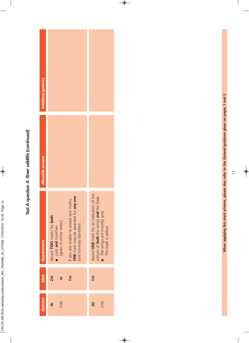# Test A question 4: River wildlife (continued) **Test A question 4:** *River wildlife (continued)*

| <b>Additional guidance</b> |                                                                           |                                                                                                                   |                                                                                                                                                            |
|----------------------------|---------------------------------------------------------------------------|-------------------------------------------------------------------------------------------------------------------|------------------------------------------------------------------------------------------------------------------------------------------------------------|
| Allowable answers          |                                                                           |                                                                                                                   |                                                                                                                                                            |
| Requirements               | Award TWO marks for both:<br>[given in either order].<br>coot and moorhen | <b>ONE</b> mark may be awarded for any one<br>If you are unable to award two marks,<br>bird correctly identified. | Award <b>ONE</b> mark for an indication of the colours of <b>both</b> the wings <b>and</b> the beak:<br>The wings are (mostly) grey<br>The beak is yellow. |
| <b>Mark</b>                | 2m<br>ð                                                                   | $\mathbf{m}$                                                                                                      | 1 <sub>m</sub>                                                                                                                                             |
| Question                   | 2/4a<br>4c                                                                |                                                                                                                   | 2/4a<br>4d                                                                                                                                                 |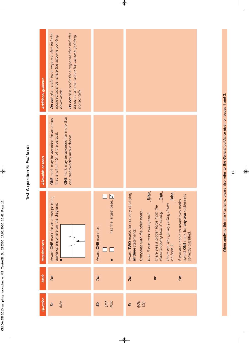| I      |
|--------|
| ı<br>ı |
| ı      |
|        |
|        |

| <b>Additional guidance</b> | Do not give credit for a response that includes<br>Do not give credit for a response that includes<br>incorrect science where the arrow is pointing<br>incorrect science where the arrow is pointing<br>downwards.<br>horizontally. |                                                             |                                                                                                                                                                                                                                                                                                                                                                                                                        |
|----------------------------|-------------------------------------------------------------------------------------------------------------------------------------------------------------------------------------------------------------------------------------|-------------------------------------------------------------|------------------------------------------------------------------------------------------------------------------------------------------------------------------------------------------------------------------------------------------------------------------------------------------------------------------------------------------------------------------------------------------------------------------------|
| Allowable answers          | ONE mark may be awarded for more than<br><b>ONE</b> mark may be awarded for an arrow<br>that is within 45° of the vertical.<br>one creditworthy arrow drawn.                                                                        |                                                             |                                                                                                                                                                                                                                                                                                                                                                                                                        |
| Requirements               | Award ONE mark for an arrow pointing<br>upwards anywhere on the diagram:<br>□                                                                                                                                                       | <u>&gt;</u><br>has the largest base.<br>Award ONE mark for: | $T^{\text{true}}$<br>False<br>False<br>Award TWO marks for correctly classifying<br>award ONE mark for any two statements<br>If you are unable to award two marks,<br>Ŧ,<br>there was less gravity pulling down<br>there was a bigger force from the<br>Compared with the other boats<br>water stopping boat 3 sinking.<br>boat 3 was more waterproof.<br>all three statements:<br>correctly classified.<br>on boat 3. |
| <b>Mark</b>                | 1m                                                                                                                                                                                                                                  | 1 <sub>m</sub>                                              | 1 <sub>m</sub><br>2m<br>ð                                                                                                                                                                                                                                                                                                                                                                                              |
| Question                   | 4/2e<br>5а                                                                                                                                                                                                                          | 4/2d<br>1/21<br>5b                                          | 4/2b<br>1/2j<br>56                                                                                                                                                                                                                                                                                                                                                                                                     |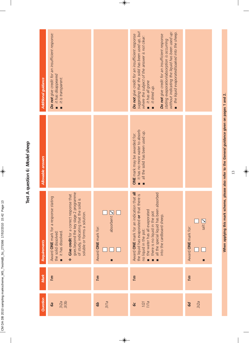Test A question 6: Model sheep **Test A question 6:** *Model sheep*

| <b>Additional guidance</b> | Do not give credit for an insufficient response:<br>it has disappeared<br>it is transparent.<br>ä                                                                                                                                                                            |                                         | suggesting that the solid has been used up, but<br>without indicating the liquid has been used up:<br>the liquid evaporated/soaked into the sheep.<br>Do not give credit for an insufficient response<br>Do not give credit for an insufficient response<br>where the subject of the answer is not clear:<br>stating evaporation/absorption is occurring<br>it has all gone<br>it dried up. |                                    |
|----------------------------|------------------------------------------------------------------------------------------------------------------------------------------------------------------------------------------------------------------------------------------------------------------------------|-----------------------------------------|---------------------------------------------------------------------------------------------------------------------------------------------------------------------------------------------------------------------------------------------------------------------------------------------------------------------------------------------------------------------------------------------|------------------------------------|
| <b>Allowable answers</b>   |                                                                                                                                                                                                                                                                              |                                         | ■ it has no more water to absorb<br>all the solid has been used up.<br><b>ONE</b> mark may be awarded for:                                                                                                                                                                                                                                                                                  |                                    |
| Requirements               | goes beyond the key stage 2 programme<br>that<br>Award ONE mark for a response stating<br><u>َي</u><br>of study, indicating that the solid<br>Give credit for a correct response<br>soluble or forms a solution.<br>the solid dissolved:<br>thas dissolved.<br>$\frac{1}{2}$ | absorbent V<br>Award ONE mark for:<br>□ | Award ONE mark for an indication that all<br>all the special liquid has been absorbed<br>the liquid has evaporated or that there is<br>the water has all evaporated<br>there is no liquid in the pot<br>nto the cardboard sheep.<br>no liquid in the pot:<br>п<br>П                                                                                                                         | Salt 7<br>Award ONE mark for:<br>□ |
| <b>Mark</b>                | 1m                                                                                                                                                                                                                                                                           | 1 <sub>m</sub>                          | 1 <sub>m</sub>                                                                                                                                                                                                                                                                                                                                                                              | 1 <sub>m</sub>                     |
| Question                   | 3/3b<br>3/2a<br>6a                                                                                                                                                                                                                                                           | 3/1a<br><b>6b</b>                       | 1/1a<br>1/21<br>6c                                                                                                                                                                                                                                                                                                                                                                          | 3/2a<br>6d                         |

When applying this mark scheme, please also refer to the General guidance given on pages 1 and 2. **When applying this mark scheme, please also refer to the** *General guidance* **given on pages 1 and 2.**

13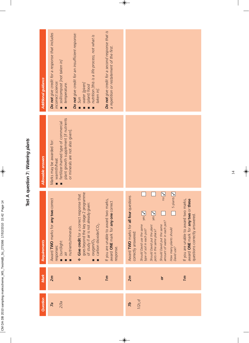| Question   | <b>Mark</b>    | Requirements                                                                                                                                                                                    | Allowable answers                                                                                                                                            | <b>Additional guidance</b>                                                                                                                                                    |
|------------|----------------|-------------------------------------------------------------------------------------------------------------------------------------------------------------------------------------------------|--------------------------------------------------------------------------------------------------------------------------------------------------------------|-------------------------------------------------------------------------------------------------------------------------------------------------------------------------------|
| 2/3a<br>7a | 2 <sub>m</sub> | Award TWO marks for any two correct<br>nutrients/minerals.<br>sun)light<br>responses:<br>all                                                                                                    | plant growth supplement [if nutrients<br>fertilizer/named type of commercial<br>or minerals are not also given].<br>Marks may be awarded for:<br>warmth/heat | Do not give credit for a response that includes<br>Do not give credit for an insufficient response:<br>soil/compost [not taken in]<br>incorrect science.<br>temperature.<br>Ē |
|            | ð              | goes beyond the key stage 2 programme<br>that<br>Give credit for a correct response<br>of study if air is not already given:<br>carbon dioxide/ $CO2$ .<br>oxygen/O <sub>2</sub><br>❖<br>о<br>□ |                                                                                                                                                              | nutrition [this is a life process, not what is<br>water [given]<br>(plant) food<br>taken in].<br>Sun                                                                          |
|            | 1 <sub>m</sub> | If you are unable to award two marks,<br>award ONE mark for any one correct<br>response.                                                                                                        |                                                                                                                                                              | Do not give credit for a second response that is<br>a repetition or restatement of the first.                                                                                 |
| <b>7b</b>  | 2m             | Award TWO marks for all four questions<br>correctly answered:                                                                                                                                   |                                                                                                                                                              |                                                                                                                                                                               |
| $1/2c$ , d |                | yes V<br>Should David use the same<br>type of soil in each pot?                                                                                                                                 |                                                                                                                                                              |                                                                                                                                                                               |
|            | ð              | $\frac{1}{2}$<br>yes <<br>amount of water in each pot?<br>Should David put the plant<br>Should David put the same<br>pots in the same place?                                                    |                                                                                                                                                              |                                                                                                                                                                               |
|            |                | $5$ plants $\sqrt{\phantom{1}}$<br>How many plants should<br>David use?                                                                                                                         |                                                                                                                                                              |                                                                                                                                                                               |
|            | 1 <sub>m</sub> | If you are unable to award two marks,<br>award <b>ONE</b> mark for <b>any two</b> or <b>three</b><br>questions correctly answered.                                                              |                                                                                                                                                              |                                                                                                                                                                               |

# Test A question 7: Watering plants **Test A question 7:** *Watering plants*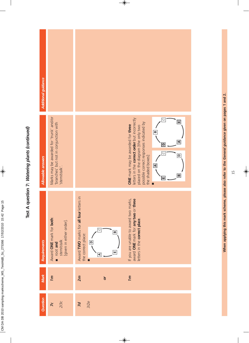| $\frac{1}{2}$ |
|---------------|
|               |
|               |
| ij<br>i<br>ı  |
| י<br>ול       |

| <b>Additional guidance</b> |                                                                                                    |                                                                                                                                                |                                                                                                                                                                                                                                                                                                 |
|----------------------------|----------------------------------------------------------------------------------------------------|------------------------------------------------------------------------------------------------------------------------------------------------|-------------------------------------------------------------------------------------------------------------------------------------------------------------------------------------------------------------------------------------------------------------------------------------------------|
| Allowable answers          | Marks may be awarded for 'trunk' and/or<br>'branches' but not in conjunction with<br>'stem/stalk'. |                                                                                                                                                | letters in the correct order but incorrectly<br>Ò<br>ш<br>possible correct responses indicated by<br>ONE mark may be awarded for three<br>placed on the diagram [the only two<br>≃<br>⋖<br>$\Omega$<br>$\circ$<br>$\overline{\bullet}$<br>the shaded boxes]:<br>$\boldsymbol{\omega}$<br>Щ<br>□ |
| Requirements               | Award ONE mark for both:<br>[given in either order].<br>stem/stalk<br>noot and                     | Award TWO marks for all four letters in<br>$\circ$<br>$\overline{\mathbf{r}}$<br>the correct place:<br>$\overline{\phantom{a}}$<br>ш<br>⋖<br>п | If you are unable to award two marks,<br>award <b>ONE</b> mark for <b>any two</b> or <b>three</b><br>letters in the correct place.                                                                                                                                                              |
| <b>Mark</b>                | $\mathfrak{m}$                                                                                     | 2m<br>ð                                                                                                                                        | 1 <sub>m</sub>                                                                                                                                                                                                                                                                                  |
| Question                   | 2/3c<br>$\overline{\chi}$                                                                          | 3/2e<br>7d                                                                                                                                     |                                                                                                                                                                                                                                                                                                 |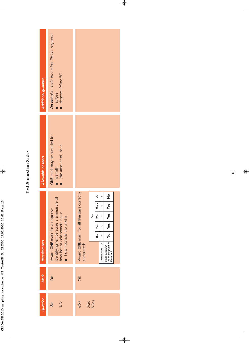### Test A question 8: Ice **Test A question 8:** *Ice*

| <b>Question</b>             | <b>Mark</b> | <b>Requirements</b>                                                                                                                   |                                   |                                                                                 |                         |             | Allowable answers                                               | <b>Additional guidance</b>                                                         |
|-----------------------------|-------------|---------------------------------------------------------------------------------------------------------------------------------------|-----------------------------------|---------------------------------------------------------------------------------|-------------------------|-------------|-----------------------------------------------------------------|------------------------------------------------------------------------------------|
| 3/2c<br>89                  | 1m          | identifying temperature is a measure<br>Award ONE mark for a response<br>how hot or cold something is:<br>now hot/cold the air/it is. |                                   |                                                                                 |                         | ৳           | ONE mark may be awarded for:<br>(the amount of) heat.<br>warmth | Do not give credit for an insufficient response:<br>degrees Celsius/°C.<br>air/gas |
| $3/2c$<br>1/2 $c_j$<br>8b i | 1m          | Award ONE mark for all five days correctly<br>ice on the puddle?<br>Yes or no?<br>completed:<br>Temperature (°C)<br>Could Tom find    | $\overline{a}$<br>Mon<br>$\infty$ | <b>Yes</b>   Yes   Yes<br>Wed<br>Day<br>$\overline{1}$<br><b>Tues</b><br>$\sim$ | Thurs<br>$\overline{1}$ | å<br>Ë<br>9 |                                                                 |                                                                                    |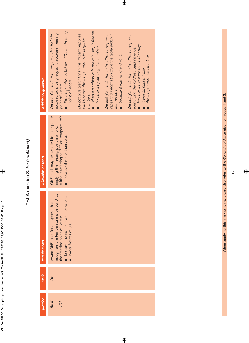| Í                                                                                                                   |
|---------------------------------------------------------------------------------------------------------------------|
|                                                                                                                     |
|                                                                                                                     |
| ı                                                                                                                   |
|                                                                                                                     |
|                                                                                                                     |
| ı                                                                                                                   |
|                                                                                                                     |
| ٠                                                                                                                   |
| ٠<br>and the state of the state of the state of the state of the state of the state of the state of the state of th |
| ı                                                                                                                   |
|                                                                                                                     |
| ٠                                                                                                                   |
|                                                                                                                     |
|                                                                                                                     |
| ī                                                                                                                   |
|                                                                                                                     |
|                                                                                                                     |
|                                                                                                                     |
|                                                                                                                     |
|                                                                                                                     |

| <b>Additional guidance</b> | $\blacksquare$ the temperature is below $-1$ °C, the freezing<br>Do not give credit for a response that includes<br>incorrect science giving an inaccurate freezing<br>point of water.<br>point of water: | when everything is in the minuses, it freezes<br>Do not give credit for an insufficient response<br>which states the temperature is in negative<br>because they are negative numbers.<br>numbers: | Do not give credit for an insufficient response<br>repeating information from the table without<br>$\blacksquare$ because it was -2°C and -1°C.<br>interpretation: | Do not give credit for an insufficient response<br>because these were the coldest days<br>identifying the cold(est) days have ice:<br>the temperature was too low.<br>it was so cold it froze |
|----------------------------|-----------------------------------------------------------------------------------------------------------------------------------------------------------------------------------------------------------|---------------------------------------------------------------------------------------------------------------------------------------------------------------------------------------------------|--------------------------------------------------------------------------------------------------------------------------------------------------------------------|-----------------------------------------------------------------------------------------------------------------------------------------------------------------------------------------------|
| Allowable answers          | without referring to "°C' or 'temperature':<br>ONE mark may be awarded for a response<br>implying the freezing point is at 0°C<br>because it is less than zero.<br>П                                      |                                                                                                                                                                                                   |                                                                                                                                                                    |                                                                                                                                                                                               |
| <b>Requirements</b>        | recognises the temperature is below 0°C,<br>- because the numbers are below 0°C<br>Award ONE mark for a response that<br>the freezing point of water:<br>water freezes at 0°C.                            |                                                                                                                                                                                                   |                                                                                                                                                                    |                                                                                                                                                                                               |
| <b>Mark</b>                | 1 <sub>m</sub>                                                                                                                                                                                            |                                                                                                                                                                                                   |                                                                                                                                                                    |                                                                                                                                                                                               |
| Question                   | 8b ii<br>1/21                                                                                                                                                                                             |                                                                                                                                                                                                   |                                                                                                                                                                    |                                                                                                                                                                                               |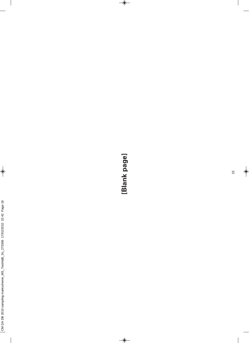[Blank page] **[Blank page]**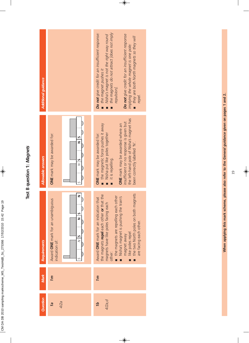### Test B question 1: Magnets **Test B question 1:** *Magnets*

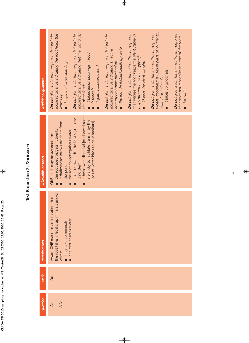| <b>Additional guidance</b> | Do not give credit for a response that includes<br>Do not give credit for a response that includes<br>incorrect science indicating that the root gives<br>incorrect science indicating the root holds the<br>it takes/sends up/brings it food<br>Reeps the leaves standing.<br>it gathers/absorbs food.<br>the plant food:<br>it feeds it<br>leaves up:<br>г | Do not give credit for a response that includes<br>the root drinks/sucks/pulls up water.<br>incorrect science indicating an active<br>anthropomorphic mechanism: | Do not give credit for an insufficient response<br>that implies the root keeps the plant stable or<br>helps prevent movement [given]:<br>■ it keeps the plant upright. | where 'goodness' is used in place of 'nutrients',<br>Do not give credit for an insufficient response<br>it takes up goodness.<br>'water' or 'minerals': | Do not give credit for an insufficient response<br>that does not recognise the role of the root:<br><b>tor water.</b> |
|----------------------------|--------------------------------------------------------------------------------------------------------------------------------------------------------------------------------------------------------------------------------------------------------------------------------------------------------------------------------------------------------------|------------------------------------------------------------------------------------------------------------------------------------------------------------------|------------------------------------------------------------------------------------------------------------------------------------------------------------------------|---------------------------------------------------------------------------------------------------------------------------------------------------------|-----------------------------------------------------------------------------------------------------------------------|
| Allowable answers          | it helps with dispersal [duckweed roots<br>it carries water to the leaves [as there<br>are sticky to facilitate transfer by the<br>legs of water birds to new habitats].<br>it drains/takes/draws nutrients from<br>the root absorbs/gets nutrients<br>the root collects/gathers water<br>ONE mark may be awarded for:<br>is no stem]<br>the pond<br>П<br>□  |                                                                                                                                                                  |                                                                                                                                                                        |                                                                                                                                                         |                                                                                                                       |
| Requirements               | the root takes in/soaks up minerals and/or<br>Award ONE mark for an indication that<br>the root absorbs water.<br>they take up minerals<br>water:                                                                                                                                                                                                            |                                                                                                                                                                  |                                                                                                                                                                        |                                                                                                                                                         |                                                                                                                       |
| <b>Mark</b>                | 1 <sub>m</sub>                                                                                                                                                                                                                                                                                                                                               |                                                                                                                                                                  |                                                                                                                                                                        |                                                                                                                                                         |                                                                                                                       |
| Question                   | 2/3c<br>2a                                                                                                                                                                                                                                                                                                                                                   |                                                                                                                                                                  |                                                                                                                                                                        |                                                                                                                                                         |                                                                                                                       |

### Test B question 2: Duckweed **Test B question 2:** *Duckweed*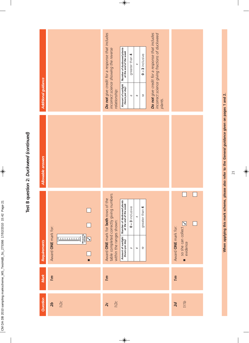| t<br>ı<br>í<br>l        |
|-------------------------|
|                         |
| l<br>I<br>ſ             |
| ֠<br>I                  |
|                         |
| l<br>$\frac{1}{2}$<br>ı |
|                         |
|                         |

|                     |                                                                              | Do not give credit for a response that includes<br>Do not give credit for a response that includes<br>incorrect science giving fractions of duckweed<br>Number of duckweed plants<br>at the end of the week<br>incorrect science showing the reverse<br>$0 - 3$ inclusive<br>greater than 4<br>4 |                                                              |
|---------------------|------------------------------------------------------------------------------|--------------------------------------------------------------------------------------------------------------------------------------------------------------------------------------------------------------------------------------------------------------------------------------------------|--------------------------------------------------------------|
| Additional guidance |                                                                              | Amount of sunlight<br>(hours per day)<br>relationship:<br>$\overline{\mathcal{O}}$<br>$\circ$<br>9<br>plants.                                                                                                                                                                                    |                                                              |
| Allowable answers   |                                                                              |                                                                                                                                                                                                                                                                                                  |                                                              |
|                     |                                                                              | table completed correctly giving numbers<br>Award ONE mark for both rows of the<br>Number of duckweed plants<br>at the end of the week<br>$0 - 3$ inclusive<br>greater than 4<br>4                                                                                                               |                                                              |
| Requirements        | Award ONE mark for:<br>Measuring<br>cylinder<br>$\overline{\mathbb{Z}}$<br>Ξ | within the ranges shown:<br>Amount of sunlight<br>(hours per day)<br>01<br>$\circ$<br>6                                                                                                                                                                                                          | so she can collect 7<br>Award ONE mark for:<br>evidence<br>ä |
| <b>Mark</b>         | 1 <sub>m</sub>                                                               | 1m                                                                                                                                                                                                                                                                                               | 1 <sub>m</sub>                                               |
| Question            | 1/2c<br>2b                                                                   | 1/2c<br>2c                                                                                                                                                                                                                                                                                       | 1/1b<br>2d                                                   |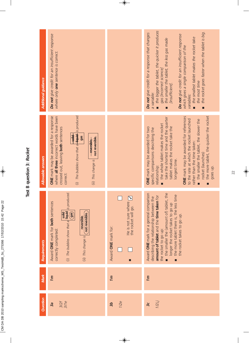Test B question 3: Rocket **Test B question 3:** *Rocket*

| <b>Additional guidance</b> | Do not give credit for an insufficient response<br>where only <b>one</b> sentence is correct.                                                                                                                                                                                                     |                                                                                                  | the bigger the tablet, the quicker it produces<br>the rocket goes faster when the tablet is big.<br>Do not give credit for a response that changes<br>Do not give credit for an insufficient response<br>the smallest tablet makes the rocket take<br>the smaller the tablet, the less gas made<br>which gives a single comparison of the<br>gas [incorrect science]<br>the most time<br>[insufficient].<br>a variable:<br>variables:<br>г                                         |
|----------------------------|---------------------------------------------------------------------------------------------------------------------------------------------------------------------------------------------------------------------------------------------------------------------------------------------------|--------------------------------------------------------------------------------------------------|------------------------------------------------------------------------------------------------------------------------------------------------------------------------------------------------------------------------------------------------------------------------------------------------------------------------------------------------------------------------------------------------------------------------------------------------------------------------------------|
| Allowable answers          | (i) The bubbles show that a <b>l-liquid-</b> is produced.<br>where all three incorrect words have been<br>ONE mark may be awarded for a response<br>crossed out, leaving <b>both</b> sentences<br><b>Hiles</b><br>gas<br>not reversible.<br><b>Teversible.</b><br>(ii) This change is<br>correct: |                                                                                                  | the more tablet, the quicker the rocket<br>ONE mark may be awarded for references<br>take the shortest time and the quarter<br>to the rate at which the rocket launched<br>the smaller the tablet, the slower the<br>the whole tablet makes the rocket<br>tablet makes the rocket take the<br><b>ONE</b> mark may be awarded for two<br>specific comparisons describing the<br>rather than the time taken:<br>rocket (launches)<br>longest time.<br>relationship:<br>goes up.<br>□ |
| Requirements               | is produced.<br>Award ONE mark for both sentences<br>(i) The bubbles show that a liquid<br>(ag)<br>solid<br>not reversible.<br>reversible.<br>correctly completed:<br>(ii) This change is                                                                                                         | He is not sure where $\overline{\mathcal{L}}$<br>the rocket will go.<br>Award ONE mark for:<br>□ | the<br>Award ONE mark for a general comparison<br>the more tablet there is, the less time<br>amount of tablet and the time taken for<br>describing the relationship between the<br>the smaller the (amount of) tablet,<br>longer the rocket takes to go up<br>the rocket takes to go up.<br>the rocket to go up:                                                                                                                                                                   |
| <b>Mark</b>                | 1 <sub>m</sub>                                                                                                                                                                                                                                                                                    | 1 <sub>m</sub>                                                                                   | 1 <sub>m</sub>                                                                                                                                                                                                                                                                                                                                                                                                                                                                     |
| Question                   | 3/1e<br>3/2f<br>3a                                                                                                                                                                                                                                                                                | 1/2e<br>3b                                                                                       | 1/2i<br>$\overline{\mathcal{S}}$                                                                                                                                                                                                                                                                                                                                                                                                                                                   |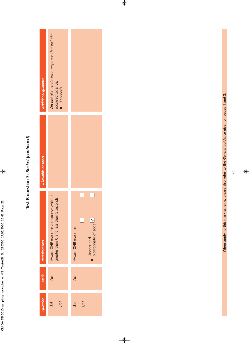

| Question   | <b>Mark</b>    | Requirements                                                                      | <b>Allowable answers</b> | <b>Additional guidance</b>                                                          |
|------------|----------------|-----------------------------------------------------------------------------------|--------------------------|-------------------------------------------------------------------------------------|
| 1/2i<br>3d | $\mathcal{I}$  | Award ONE mark for a response which is<br>greater than 0 and less than 5 seconds. |                          | Do not give credit for a response that includes<br>incorrect science:<br>O seconds. |
| 3/2f<br>3e | 1 <sub>m</sub> | vinegar and<br>bicarbonate of soda <b>V</b><br>Award ONE mark for:                |                          |                                                                                     |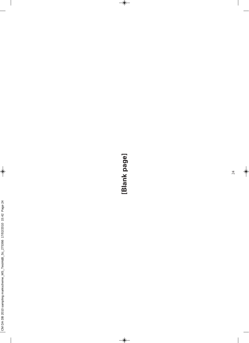[Blank page] **[Blank page]**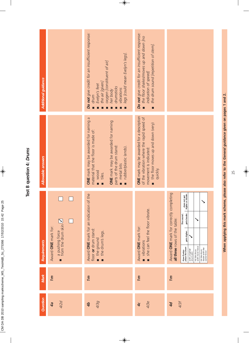| ı      |
|--------|
|        |
| ı<br>I |
| ĩ<br>ı |
|        |

| <b>Additional guidance</b> |                                                                                  | Do not give credit for an insufficient response:<br>legs [could mean Evelyn's legs].<br>oxygen [constituent of air]<br>the air [given]<br>Evelyn's feet<br>drumsticks<br>vibrations<br>her body<br>drum                           | Do not give credit for an insufficient response:<br>the floor shakes/moves up and down [no<br>the drum sound [repetition of stem].<br>indication of speed]<br>ò<br>□      |                                                                                                                                                                                                                                                                                                                  |
|----------------------------|----------------------------------------------------------------------------------|-----------------------------------------------------------------------------------------------------------------------------------------------------------------------------------------------------------------------------------|---------------------------------------------------------------------------------------------------------------------------------------------------------------------------|------------------------------------------------------------------------------------------------------------------------------------------------------------------------------------------------------------------------------------------------------------------------------------------------------------------|
| Allowable answers          |                                                                                  | <b>ONE</b> mark may be awarded for naming a<br><b>ONE</b> mark may be awarded for naming<br>material that the floor is made of:<br>parts of the drum stand:<br>rubber/plastic (ends).<br>metal bits<br><b>DOON</b><br>tiles.<br>Ē | <b>ONE</b> mark may be awarded for a description<br>of the vibration where the rapid speed of<br>the floor moves up and down (very)<br>movement is indicated:<br>quickly. |                                                                                                                                                                                                                                                                                                                  |
| Requirements               | a pushing force $\overline{V}$<br>from the drum skin<br>Award ONE mark for:<br>п | F <sub>the</sub><br>Award ONE mark for an indication of<br>floor or drum stand:<br><b>n</b> the drum's legs.<br>the ground                                                                                                        | she can feel the floor vibrate.<br>Award ONE mark for:<br>vibrations<br>i.                                                                                                | Award ONE mark for correctly completing<br>does not get<br>gets louder.   higher or louder.<br>↘<br>The sound<br>all three rows of the table:<br>gets higher.<br>hit the drum<br>with more force<br>How Evelyn<br>plays the drum<br>hit the drum<br>faster with the<br>same force<br>with a tighter<br>drum skin |
| <b>Mark</b>                | 1m                                                                               | 1 <sub>m</sub>                                                                                                                                                                                                                    | 1 <sub>m</sub>                                                                                                                                                            | 1 <sub>m</sub>                                                                                                                                                                                                                                                                                                   |
| Question                   | 4/2d<br>4a                                                                       | 4/3g<br>4b                                                                                                                                                                                                                        | 4/3e<br>4c                                                                                                                                                                | 4/3f<br>4d                                                                                                                                                                                                                                                                                                       |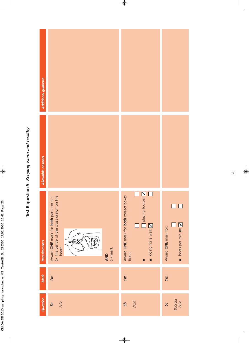**Additional guidance** *Question Requirements Mark Additional guidance* Allowable answers *Allowable answers* Diaying football  $\Box$  $\Box$ Award **ONE** mark for **both** parts correct:<br>(i) the centre of the cross drawn on the<br>heart: Award ONE mark for both correct boxes<br>ticked: Award **ONE** mark for **both** parts correct: Award **ONE** mark for **both** correct boxes (i) the centre of the cross drawn on the ■ playing football  $\Box$ ■ beats per minute 2 ■ going for a walk 2 Award ONE mark for: Award **ONE** mark for: ■ beats per minute ■ going for a walk E **Requirements AND** (ii) heart. п **Mark** *1m 1m 1m* Question *2/2d BoS 2a 2/2c 2/2c 5a 5b 5c*

Test B question 5: Keeping warm and healthy **Test B question 5:** *Keeping warm and healthy*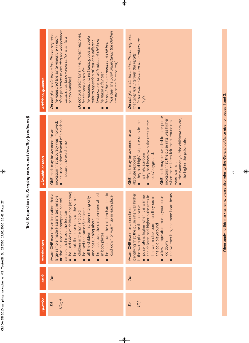| place [this refers to ensuring the independent<br>Inot clear the pupil understands the children<br>Do not give credit for an insufficient response:<br>Do not give credit for an insufficient response:<br>ne measured the air temperature in each<br>he repeated his test [ambiguous as could<br>variable has been varied rather than to a<br>temperature, or with different children]<br>refer to repetition of test at a different<br>he used the same number of children<br>are the same in each test].<br>he checked his results<br>he made a fair test<br>control variable].<br><b>Additional guidance</b><br>□<br>П | Do not give credit for an insufficient response<br>in the warm classroom the numbers are<br>that does not interpret the results:<br>high.                                                                                                                                                                                                                                                            |
|----------------------------------------------------------------------------------------------------------------------------------------------------------------------------------------------------------------------------------------------------------------------------------------------------------------------------------------------------------------------------------------------------------------------------------------------------------------------------------------------------------------------------------------------------------------------------------------------------------------------------|------------------------------------------------------------------------------------------------------------------------------------------------------------------------------------------------------------------------------------------------------------------------------------------------------------------------------------------------------------------------------------------------------|
| ne used a timer instead of a clock to<br>indication that accuracy was improved:<br>ONE mark may be awarded for an<br>measure the exact time.<br>Allowable answers                                                                                                                                                                                                                                                                                                                                                                                                                                                          | ONE mark may be awarded for a response<br>the warmer you/the children/they are,<br>indicating that the pulse rate was higher<br>when the children felt the surroundings<br>they had high/fast pulse rates in the<br>they had low/slow pulse rates in the<br>ONE mark may be awarded for an<br>the higher the pulse rate.<br>cold/playground.<br>warm/classroom<br>absolute response:<br>were warmer: |
| one)<br>ne made sure the children were at rest<br>ne made sure the children had time to<br>Award ONE mark for an indication that a<br>cool down or warm up in each place.<br>large sample made Hassan's test reliable<br>all the children had been sitting only<br>he took the pulse rates of the same<br>or that he used an appropriate control<br>he used 6/lots of children (not just<br>ne used the same (6) children<br>variable that made the test fair:<br>children in the hot and cold<br>and not running about<br>n both places<br>Requirements                                                                   | the warmer it is, the more heart beats.<br>identifying that the pulse rate was higher<br>pulse rate is higher when it is warmer<br>the children had higher pulse rates in<br>the warm classroom than they did in<br>a low temperature makes your pulse<br>in the warm place or the converse:<br>Award ONE mark for a conclusion<br>the cold playground<br>go down<br>□<br>⊑                          |
| <b>Mark</b><br>1 <sub>m</sub>                                                                                                                                                                                                                                                                                                                                                                                                                                                                                                                                                                                              | 1m                                                                                                                                                                                                                                                                                                                                                                                                   |
| Question<br>1/2g,d<br><b>5d</b>                                                                                                                                                                                                                                                                                                                                                                                                                                                                                                                                                                                            | 1/2j<br><b>5e</b>                                                                                                                                                                                                                                                                                                                                                                                    |

**Test B question 5:** *Keeping warm and healthy (continued)*

Test B question 5: Keeping warm and healthy (continued)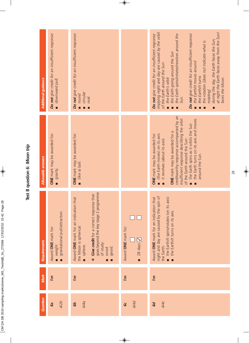Test B question 6: Moon trip **Test B question 6:** *Moon trip*

| <b>Additional guidance</b> | Do not give credit for an insufficient response:<br>downward pull.<br>Ë | Do not give credit for an insufficient response:<br>circular<br>puna<br>oval.                                                                                                                       |                                                  | implying night and day are caused by the orbit<br>at night the Earth faces away from the Sun/<br>Do not give credit for an insufficient response:<br>the Earth spins/rotates/revolves around the<br>Do not give credit for an insufficient response<br>during the day, the Earth faces the Sun,<br>the rotation [does not indicate what is<br>the Earth going around the Sun<br>the Earthlit moves around<br>of the Earth around the Sun:<br>the Earthlit turns<br>the Earth's orbit<br>faces the Moon.<br>rotating]<br>Sun. |
|----------------------------|-------------------------------------------------------------------------|-----------------------------------------------------------------------------------------------------------------------------------------------------------------------------------------------------|--------------------------------------------------|------------------------------------------------------------------------------------------------------------------------------------------------------------------------------------------------------------------------------------------------------------------------------------------------------------------------------------------------------------------------------------------------------------------------------------------------------------------------------------------------------------------------------|
| <b>Allowable answers</b>   | <b>ONE</b> mark may be awarded for:<br>gravity.<br>Ō                    | ONE mark may be awarded for:<br>like a) ball.                                                                                                                                                       |                                                  | creditworthy response accompanied by an<br>insufficient response describing the orbit<br>the Earth turns on its axis and moves<br><b>n</b> the Earth spins as it orbits the Sun<br><b>ONE</b> mark may be awarded for a<br>ONE mark may be awarded for:<br>(the Earth moves) on its axis<br>of the Earth around the Sun:<br>it revolves (about its axis).<br>around the Sun.<br>Ō<br>П                                                                                                                                       |
| Requirements               | gravitational pull/attraction.<br>Award ONE mark for:<br><b>Meight</b>  | goes beyond the key stage 2 programme<br>Give credit for a correct response that<br>Award ONE mark for an indication that<br>the Moon is spherical:<br>of study:<br>sphere.<br>geoid.<br>piovo<br>❖ | Award ONE mark for:<br>$28$ days $\sqrt{ }$<br>Ξ | night and day are caused by the spin of<br>Award ONE mark for an indication that<br>the Earth/it spins/rotates (on its axis)<br>the Earth/it turns on its axis.<br>the Earth:                                                                                                                                                                                                                                                                                                                                                |
| <b>Mark</b>                | 1 <sub>m</sub>                                                          | 1 <sub>m</sub>                                                                                                                                                                                      | 1 <sub>m</sub>                                   | 1 <sub>m</sub>                                                                                                                                                                                                                                                                                                                                                                                                                                                                                                               |
| Question                   | 4/2b<br>6a                                                              | 4/4a<br><b>6b</b>                                                                                                                                                                                   | <b>4/4d</b><br><u>ნ</u> с                        | <b>4/4C</b><br>6d                                                                                                                                                                                                                                                                                                                                                                                                                                                                                                            |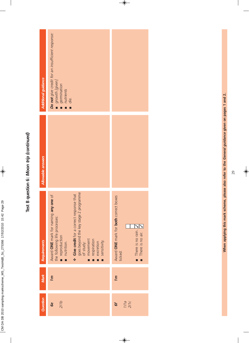| t<br>ı<br>l                |
|----------------------------|
| j                          |
| ı<br>ĵ<br>ı                |
| ı<br>I<br>l<br>י<br>ו<br>ı |
| ı<br>ĺ                     |

| Question               | <b>Mark</b>    | Requirements                                                                                                                                                                                                                                                            | Allowable answers | <b>Additional guidance</b>                                                                             |
|------------------------|----------------|-------------------------------------------------------------------------------------------------------------------------------------------------------------------------------------------------------------------------------------------------------------------------|-------------------|--------------------------------------------------------------------------------------------------------|
| 2/1b<br>6e             | 1 <sub>m</sub> | goes beyond the key stage 2 programme<br>◆ Give credit for a correct response that<br>$\sigma$<br>Award ONE mark for naming any one<br>the following life processes:<br>reproduction<br>movement<br>respiration<br>nutrition.<br>sensitivity.<br>of study:<br>excretion |                   | Do not give credit for an insufficient response:<br>growth [given]<br>germination<br>nutrients<br>die. |
| $1/1a$<br>$2/1c$<br>6f | 1 <sub>m</sub> | Award ONE mark for both correct boxes<br>There is no air. $\sqrt{\phantom{a}}$<br>There is no rain. $\nabla$<br>ticked:                                                                                                                                                 |                   |                                                                                                        |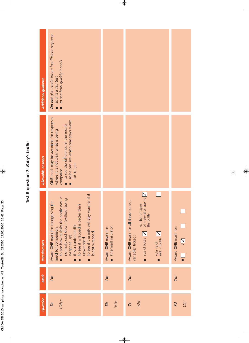Test B question 7: Baby's bottle **Test B question 7:** *Baby's bottle*

| <b>Additional guidance</b> | Do not give credit for an insufficient response:<br>to see how quickly it cools.<br>so it is a fair test                                                                                                                                                                                                 |                                            |                                                                                                                                                                                                      |                                            |
|----------------------------|----------------------------------------------------------------------------------------------------------------------------------------------------------------------------------------------------------------------------------------------------------------------------------------------------------|--------------------------------------------|------------------------------------------------------------------------------------------------------------------------------------------------------------------------------------------------------|--------------------------------------------|
| Allowable answers          | <b>ONE</b> mark may be awarded for responses<br>so he can see which one stays warm<br>to see the difference in the results<br>where it is not clear what is being<br>for longer.<br>compared:<br>ŕ                                                                                                       |                                            |                                                                                                                                                                                                      |                                            |
| Requirements               | if it<br>to see how quickly the bottle would<br>normally cool down (without being<br>Award ONE mark for recognising the<br>to see if the milk will stay warmer<br>to see if wrapped is better than<br>it is a control bottle<br>need for comparison:<br>is not wrapped.<br>wrapped up)<br>unwrapped<br>П | thermal) insulator.<br>Award ONE mark for: | of material wrapping<br>Award ONE mark for all three correct<br>number of layers<br>the bottle<br>size of bottle  <br>milk in bottle $\overline{\mathcal{L}}$<br>variables ticked:<br>volume of<br>□ | Ξ<br>Award ONE mark for:<br>$\blacksquare$ |
| <b>Mark</b>                | 1 <sub>m</sub>                                                                                                                                                                                                                                                                                           | 1 <sub>m</sub>                             | 1 <sub>m</sub>                                                                                                                                                                                       | 1 <sub>m</sub>                             |
| Question                   | $1/2b$ , $c$<br>7a                                                                                                                                                                                                                                                                                       | 3/1b<br><b>7b</b>                          | 1/2d<br>$\overline{\mathbf{z}}$                                                                                                                                                                      | 1/2i<br>7d                                 |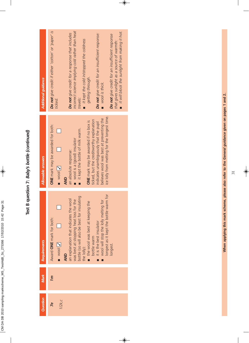| ٢<br>ı |
|--------|
|        |
|        |
|        |
|        |
|        |
| ı      |
|        |
|        |
|        |
|        |
| ١      |
|        |
|        |
| ļ<br>ľ |
|        |
|        |
| ı      |
|        |
|        |
| ĺ<br>ı |
|        |
|        |

| <b>Additional guidance</b> | Do not give credit if either 'cotton' or 'paper' is | ticked.      |     | Do not give credit for a response that includes | incorrect science implying cold rather than heat | travels:                                    | ■ it kept the cold in/stopped the coldness | getting through.                     |                                          | Do not give credit for an insufficient response: | vool is thick.                           |                                              | Do not give credit for an insufficient response | that gives sunlight as a source of warmth: | ■ it will block the sunlight from making it hot. |  |
|----------------------------|-----------------------------------------------------|--------------|-----|-------------------------------------------------|--------------------------------------------------|---------------------------------------------|--------------------------------------------|--------------------------------------|------------------------------------------|--------------------------------------------------|------------------------------------------|----------------------------------------------|-------------------------------------------------|--------------------------------------------|--------------------------------------------------|--|
| Allowable answers          | <b>ONE</b> mark may be awarded for both:            | V NOOI V     | AND | an absolute response:                           | wool is a (good) insulator                       | it kept the bottle of milk warm.<br>П       |                                            | ONE mark may be awarded if no box is | ticked, but the creditworthy explanation | indicates unambiguously that the pupil           | believes wool was best at preventing the | ice lolly from melting for the longest time. |                                                 |                                            |                                                  |  |
| Requirements               | Award ONE mark for both:                            | I wool V     | AND | an explanation that indicates the woo           | was best at stopping heat loss for the           | bottle (so will also be best for insulating | the lolly):                                | the wool was best at keeping the     | bottle warm                              | it is the best insulator                         | wool will stop the lolly melting for     | longest as it kept the bottle warm for       | longest.                                        |                                            |                                                  |  |
| <b>Mark</b>                | 1 <sub>m</sub>                                      |              |     |                                                 |                                                  |                                             |                                            |                                      |                                          |                                                  |                                          |                                              |                                                 |                                            |                                                  |  |
| Question                   | 7e                                                  | $1/2k$ , $C$ |     |                                                 |                                                  |                                             |                                            |                                      |                                          |                                                  |                                          |                                              |                                                 |                                            |                                                  |  |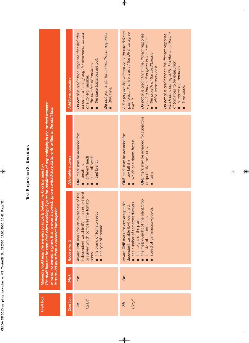### Test B question 8: Tomatoes **Test B question 8:** *Tomatoes*

| Draft box                    |                | The draft box can be consulted when marking all parts for clarification of any ambiguity in the marked response<br>or when no answer is given. If an answer is correct, ignore contradictory statements written in the draft box.<br>Markers should read the answers to all parts before marking this question.<br>Parts 8a-8d must form a coherent investigation. |                                                                                                                                                                          |                                                                                                                                                                                                                                                                                                                                                                                                                                                             |
|------------------------------|----------------|--------------------------------------------------------------------------------------------------------------------------------------------------------------------------------------------------------------------------------------------------------------------------------------------------------------------------------------------------------------------|--------------------------------------------------------------------------------------------------------------------------------------------------------------------------|-------------------------------------------------------------------------------------------------------------------------------------------------------------------------------------------------------------------------------------------------------------------------------------------------------------------------------------------------------------------------------------------------------------------------------------------------------------|
| Question                     | <b>Mark</b>    | <b>Requirements</b>                                                                                                                                                                                                                                                                                                                                                | Allowable answers                                                                                                                                                        | <b>Additional guidance</b>                                                                                                                                                                                                                                                                                                                                                                                                                                  |
| $1/2a$ , $d$<br>89           | $\mathbf{m}$   | independent variable (IV) in an experiment<br>of the<br>or survey which compares the tomato<br>Award ONE mark for an awareness<br>the brand of tomato seeds<br>• the type of tomato.<br>seeds:                                                                                                                                                                     | ONE mark may be awarded for:<br>different seeds<br>(kind of) seeds<br>(the) brand.<br>tomatoes                                                                           | incorrect science giving the dependent variable<br>Do not give credit for a response that includes<br>Do not give credit for an insufficient response:<br>the place tomatoes are put.<br>the number of tomatoes<br>or a control variable:<br>$\bullet$ (the) type.                                                                                                                                                                                          |
| $1/2c$ , d<br>8 <sub>b</sub> | 1 <sub>m</sub> | the mass/weight of the plant/crop<br>Award ONE mark for any acceptable<br>the number of tomatoes/flowers<br>dependent variable (DV) identified:<br>speed of germination/growth.<br>the size of the tomatoes<br>the height of the plant                                                                                                                             | <b>ONE</b> mark may be awarded for subjective<br><b>ONE</b> mark may be awarded for:<br>which one ripens fastest.<br>or qualitative measures:<br>how tall it is<br>aste. | A DV (in part 8b) without an IV (in part 8a) can<br>gain credit. If there is an IV the DV must agree<br>which does not explicitly describe the attribute<br>Do not give credit for an insufficient response<br>Do not give credit for an insufficient response<br>repeating information given in the question:<br>the growth of the seed/tomato<br>of tomatoes to be measured:<br>which seeds grow best.<br>compare the tomatoes<br>time taken.<br>with it. |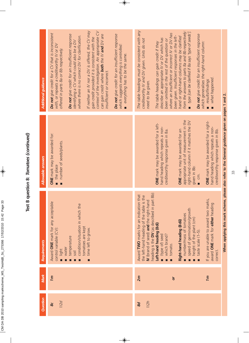**Test B question 8:** *Tomatoes (continued)*

Test B question 8: Tomatoes (continued)

When applying this mark scheme, please also refer to the General guidance given on pages 1 and 2. **When applying this mark scheme, please also refer to the** *General guidance* **given on pages 1 and 2.**

33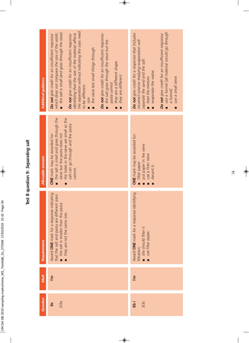| <b>Additional guidance</b> | the separation without indicating the sizes need<br>the salt is small (and goes through the sieve).<br>which does not compare the size of the solids:<br>identifying that the size of the material affects<br>Do not give credit for an insufficient response:<br>Do not give credit for an insufficient response<br>Do not give credit for an insufficient response<br>the salt goes through the sieve but the<br>the sieve lets small things through.<br>they are a different shape<br>they are different.<br>pasta cannot<br>to be different:<br><b>SIZe</b> | use a funnel [all material would go through<br>Do not give credit for a response that includes<br>Do not give credit for an insufficient response:<br>incorrect science implying evaporation will<br>separate the sand and the salt:<br>evaporate the water.<br>use a small sieve.<br>heat the mixture<br>a funnell<br>ö |
|----------------------------|-----------------------------------------------------------------------------------------------------------------------------------------------------------------------------------------------------------------------------------------------------------------------------------------------------------------------------------------------------------------------------------------------------------------------------------------------------------------------------------------------------------------------------------------------------------------|--------------------------------------------------------------------------------------------------------------------------------------------------------------------------------------------------------------------------------------------------------------------------------------------------------------------------|
| <b>Allowable answers</b>   | the salt is small and goes through the<br>the holes in the sieve are small so the<br>salt can go through and the pasta<br>ONE mark may be awarded for:<br>sieve but the pasta does not<br>cannot.<br>■                                                                                                                                                                                                                                                                                                                                                          | ONE mark may be awarded for:<br>put paper in the sieve<br>use a finer sieve<br>filter paper<br>decant it.                                                                                                                                                                                                                |
| Requirements               | Award ONE mark for a response indicating<br>that the salt and pasta are different sizes:<br>the salt is smaller than the pasta<br>they are not the same size.                                                                                                                                                                                                                                                                                                                                                                                                   | Award ONE mark for a response identifying<br>she should filter it<br>use filter paper.<br>filtration:                                                                                                                                                                                                                    |
| <b>Mark</b>                | 1 <sub>m</sub>                                                                                                                                                                                                                                                                                                                                                                                                                                                                                                                                                  | 1 <sub>m</sub>                                                                                                                                                                                                                                                                                                           |
| Question                   | 3/3a<br>9a                                                                                                                                                                                                                                                                                                                                                                                                                                                                                                                                                      | 3/3c<br>9b i                                                                                                                                                                                                                                                                                                             |

**Test B question 9:** *Separating salt*

Test B question 9: Separating salt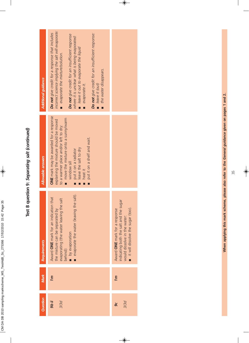| <b>Additional guidance</b> | incorrect science implying the salt will evaporate:<br>Do not give credit for a response that includes<br>Do not give credit for an insufficient response:<br>Do not give credit for an insufficient response<br>where it is unclear what is being evaporated:<br>leave it out to evaporate the liquid<br><b>evaporate the mixture/solution.</b><br>the water disappears.<br>leave it (out)<br>evaporate it. |                                                                                                                                              |
|----------------------------|--------------------------------------------------------------------------------------------------------------------------------------------------------------------------------------------------------------------------------------------------------------------------------------------------------------------------------------------------------------------------------------------------------------|----------------------------------------------------------------------------------------------------------------------------------------------|
| Allowable answers          | <b>ONE</b> mark may be awarded for a response<br>move the mixture onto a sunny/warm<br>explaining the mixture should be moved<br>to a warmer place and/or left to dry:<br>put it on a shelf and wait.<br>leave the salt to dry<br>put it on a radiator<br>window sill<br>heat it                                                                                                                             |                                                                                                                                              |
| Requirements               | evaporate the water (leaving the salt).<br>Award ONE mark for an indication that<br>evaporating (the water leaving the salt<br>the mixture can be separated by<br>I by evaporation<br>behind):                                                                                                                                                                                                               | indicating both the salt and the sugar<br>it will dissolve the sugar (too).<br>Award ONE mark for a response<br>would dissolve in the water: |
| <b>Mark</b>                | $\mathbf{m}$                                                                                                                                                                                                                                                                                                                                                                                                 | $\mathbf{m}$                                                                                                                                 |
| Question                   | ji q6<br>3/3d                                                                                                                                                                                                                                                                                                                                                                                                | 3/3d<br>9c                                                                                                                                   |

**Test B question 9:** *Separating salt (continued)*

Test B question 9: Separating salt (continued)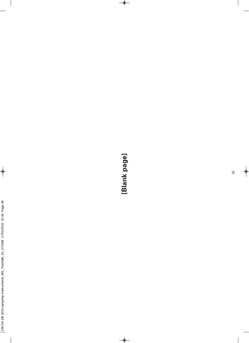[Blank page] **[Blank page]**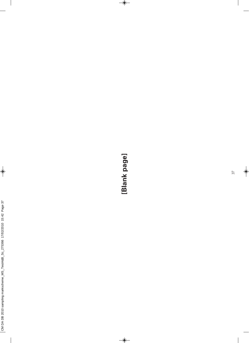[Blank page] **[Blank page]**